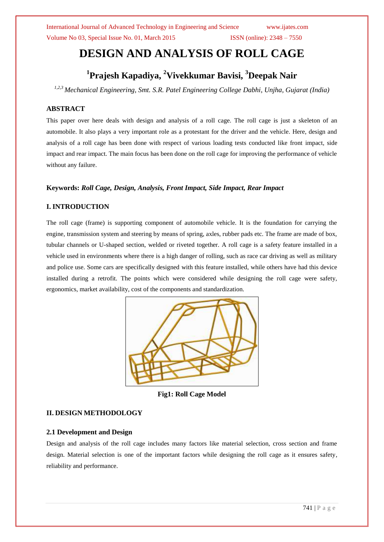International Journal of Advanced Technology in Engineering and Science www.ijates.com Volume No 03, Special Issue No. 01, March 2015 ISSN (online):  $2348 - 7550$ 

# **DESIGN AND ANALYSIS OF ROLL CAGE**

# **1 Prajesh Kapadiya, <sup>2</sup>Vivekkumar Bavisi, <sup>3</sup>Deepak Nair**

*1,2,3 Mechanical Engineering, Smt. S.R. Patel Engineering College Dabhi, Unjha, Gujarat (India)*

#### **ABSTRACT**

This paper over here deals with design and analysis of a roll cage. The roll cage is just a skeleton of an automobile. It also plays a very important role as a protestant for the driver and the vehicle. Here, design and analysis of a roll cage has been done with respect of various loading tests conducted like front impact, side impact and rear impact. The main focus has been done on the roll cage for improving the performance of vehicle without any failure.

#### **Keywords:** *Roll Cage, Design, Analysis, Front Impact, Side Impact, Rear Impact*

#### **I. INTRODUCTION**

The roll cage (frame) is supporting component of automobile vehicle. It is the foundation for carrying the engine, transmission system and steering by means of spring, axles, rubber pads etc. The frame are made of box, tubular channels or U-shaped section, welded or riveted together. A roll cage is a safety feature installed in a vehicle used in environments where there is a high danger of rolling, such as race car driving as well as military and police use. Some cars are specifically designed with this feature installed, while others have had this device installed during a retrofit. The points which were considered while designing the roll cage were safety, ergonomics, market availability, cost of the components and standardization.



**Fig1: Roll Cage Model**

### **II. DESIGN METHODOLOGY**

#### **2.1 Development and Design**

Design and analysis of the roll cage includes many factors like material selection, cross section and frame design. Material selection is one of the important factors while designing the roll cage as it ensures safety, reliability and performance.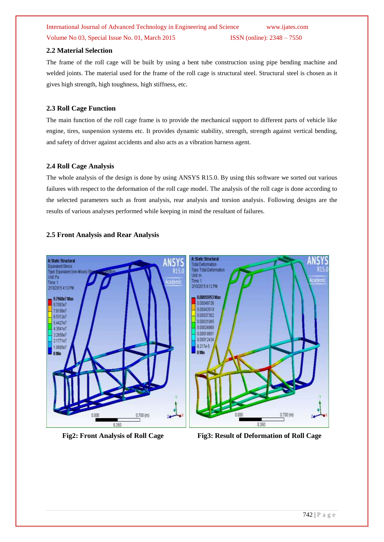# International Journal of Advanced Technology in Engineering and Science www.ijates.com Volume No 03, Special Issue No. 01, March 2015 ISSN (online): 2348 – 7550

#### **2.2 Material Selection**

The frame of the roll cage will be built by using a bent tube construction using pipe bending machine and welded joints. The material used for the frame of the roll cage is structural steel. Structural steel is chosen as it gives high strength, high toughness, high stiffness, etc.

#### **2.3 Roll Cage Function**

The main function of the roll cage frame is to provide the mechanical support to different parts of vehicle like engine, tires, suspension systems etc. It provides dynamic stability, strength, strength against vertical bending, and safety of driver against accidents and also acts as a vibration harness agent.

#### **2.4 Roll Cage Analysis**

The whole analysis of the design is done by using ANSYS R15.0. By using this software we sorted out various failures with respect to the deformation of the roll cage model. The analysis of the roll cage is done according to the selected parameters such as front analysis, rear analysis and torsion analysis. Following designs are the results of various analyses performed while keeping in mind the resultant of failures.

#### **2.5 Front Analysis and Rear Analysis**





**Fig2: Front Analysis of Roll Cage Fig3: Result of Deformation of Roll Cage**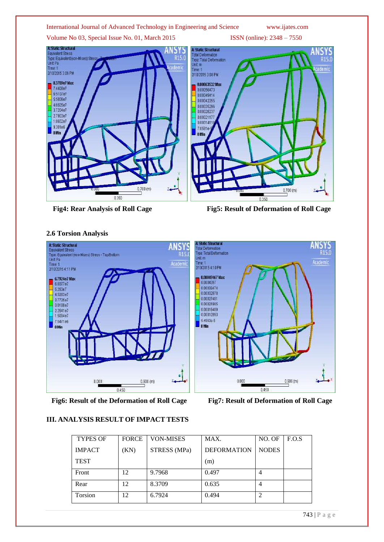#### International Journal of Advanced Technology in Engineering and Science www.ijates.com

Volume No 03, Special Issue No. 01, March 2015 ISSN (online): 2348 – 7550







## **2.6 Torsion Analysis**

**Fig6: Result of the Deformation of Roll Cage Fig7: Result of Deformation of Roll Cage**

# **III. ANALYSIS RESULT OF IMPACT TESTS**

| <b>TYPES OF</b> | <b>FORCE</b> | <b>VON-MISES</b> | MAX.               | NO. OF       | F.O.S |
|-----------------|--------------|------------------|--------------------|--------------|-------|
| <b>IMPACT</b>   | (KN)         | STRESS (MPa)     | <b>DEFORMATION</b> | <b>NODES</b> |       |
| <b>TEST</b>     |              |                  | (m)                |              |       |
| Front           | 12           | 9.7968           | 0.497              |              |       |
| Rear            | 12           | 8.3709           | 0.635              |              |       |
| Torsion         | 12           | 6.7924           | 0.494              |              |       |